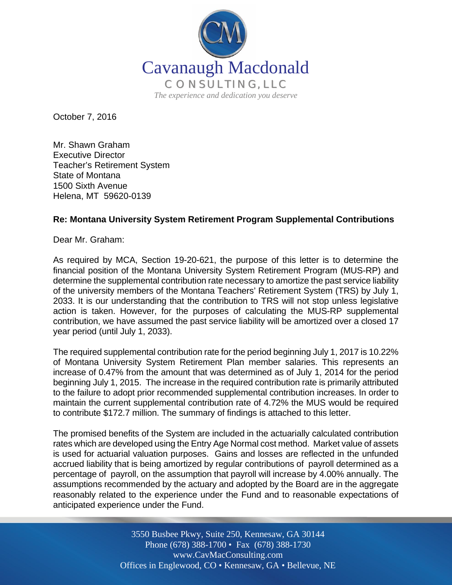

October 7, 2016

Mr. Shawn Graham Executive Director Teacher's Retirement System State of Montana 1500 Sixth Avenue Helena, MT 59620-0139

## **Re: Montana University System Retirement Program Supplemental Contributions**

Dear Mr. Graham:

As required by MCA, Section 19-20-621, the purpose of this letter is to determine the financial position of the Montana University System Retirement Program (MUS-RP) and determine the supplemental contribution rate necessary to amortize the past service liability of the university members of the Montana Teachers' Retirement System (TRS) by July 1, 2033. It is our understanding that the contribution to TRS will not stop unless legislative action is taken. However, for the purposes of calculating the MUS-RP supplemental contribution, we have assumed the past service liability will be amortized over a closed 17 year period (until July 1, 2033).

The required supplemental contribution rate for the period beginning July 1, 2017 is 10.22% of Montana University System Retirement Plan member salaries. This represents an increase of 0.47% from the amount that was determined as of July 1, 2014 for the period beginning July 1, 2015. The increase in the required contribution rate is primarily attributed to the failure to adopt prior recommended supplemental contribution increases. In order to maintain the current supplemental contribution rate of 4.72% the MUS would be required to contribute \$172.7 million. The summary of findings is attached to this letter.

The promised benefits of the System are included in the actuarially calculated contribution rates which are developed using the Entry Age Normal cost method. Market value of assets is used for actuarial valuation purposes. Gains and losses are reflected in the unfunded accrued liability that is being amortized by regular contributions of payroll determined as a percentage of payroll, on the assumption that payroll will increase by 4.00% annually. The assumptions recommended by the actuary and adopted by the Board are in the aggregate reasonably related to the experience under the Fund and to reasonable expectations of anticipated experience under the Fund.

> Off Offices in Englewood, CO • Kennesaw, GA • Bellevue, NE 3550 Busbee Pkwy, Suite 250, Kennesaw, GA 30144 Phone (678) 388-1700 • Fax (678) 388-1730 www.CavMacConsulting.com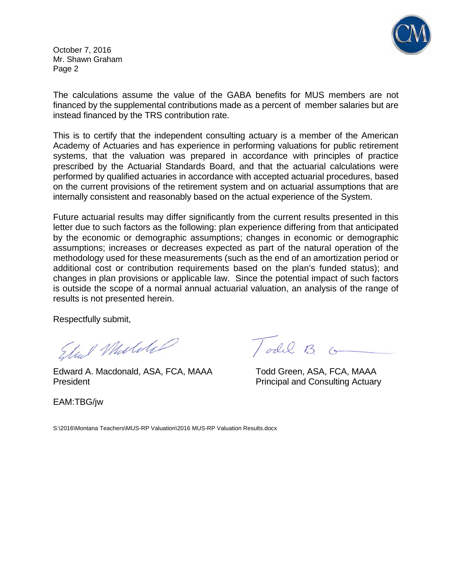

October 7, 2016 Mr. Shawn Graham Page 2

The calculations assume the value of the GABA benefits for MUS members are not financed by the supplemental contributions made as a percent of member salaries but are instead financed by the TRS contribution rate.

This is to certify that the independent consulting actuary is a member of the American Academy of Actuaries and has experience in performing valuations for public retirement systems, that the valuation was prepared in accordance with principles of practice prescribed by the Actuarial Standards Board, and that the actuarial calculations were performed by qualified actuaries in accordance with accepted actuarial procedures, based on the current provisions of the retirement system and on actuarial assumptions that are internally consistent and reasonably based on the actual experience of the System.

Future actuarial results may differ significantly from the current results presented in this letter due to such factors as the following: plan experience differing from that anticipated by the economic or demographic assumptions; changes in economic or demographic assumptions; increases or decreases expected as part of the natural operation of the methodology used for these measurements (such as the end of an amortization period or additional cost or contribution requirements based on the plan's funded status); and changes in plan provisions or applicable law. Since the potential impact of such factors is outside the scope of a normal annual actuarial valuation, an analysis of the range of results is not presented herein.

Respectfully submit,

Edward A. Macdonald, ASA, FCA, MAAA Todd Green, ASA, FCA, MAAA

President **President** Principal and Consulting Actuary

EAM:TBG/jw

Todil B. G

S:\2016\Montana Teachers\MUS-RP Valuation\2016 MUS-RP Valuation Results.docx